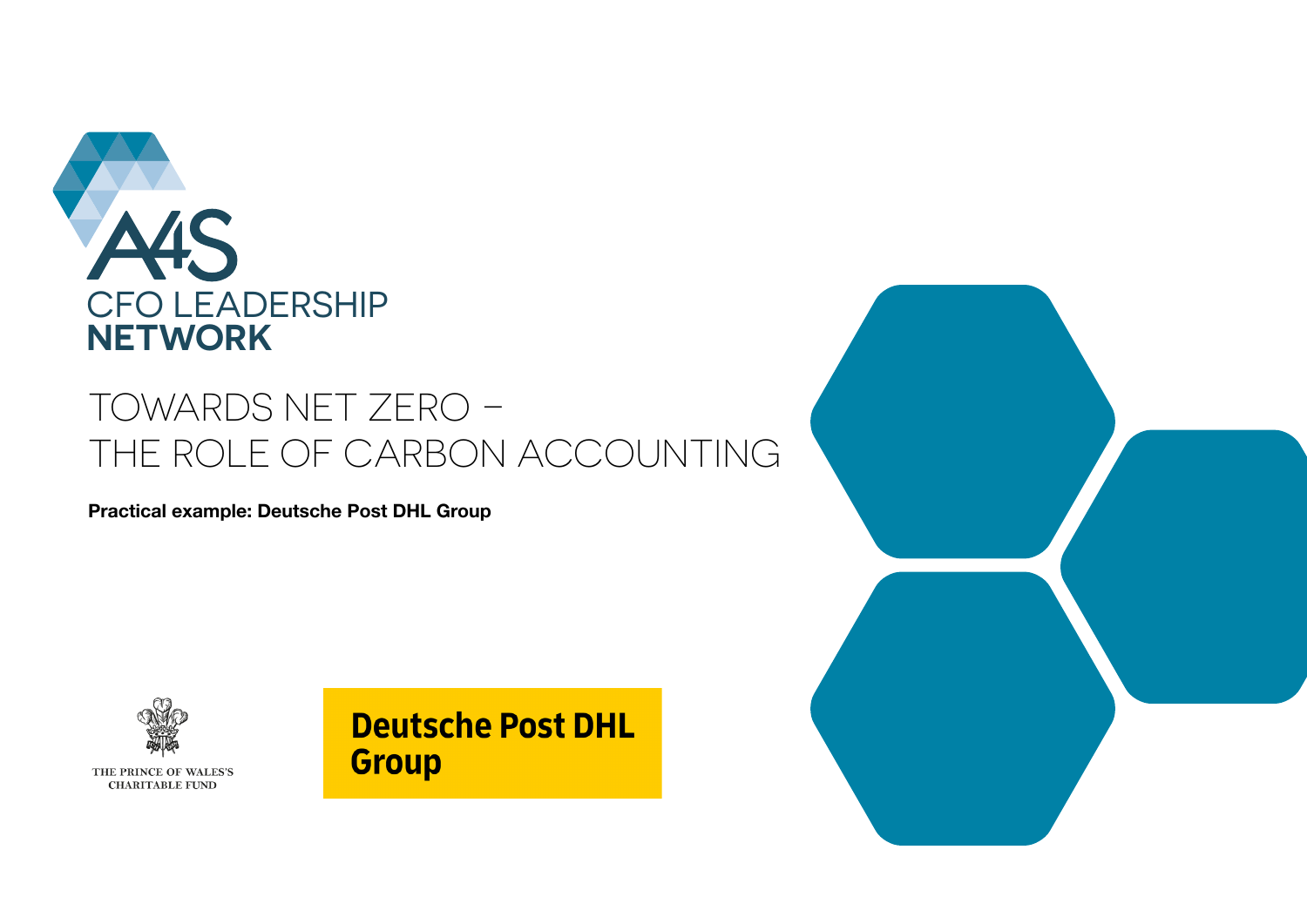

### TOWARDS NET ZERO – THE ROLE OF CARBON ACCOUNTING

**Practical example: Deutsche Post DHL Group** 



THE PRINCE OF WALES'S **CHARITABLE FUND** 

### **Deutsche Post DHL Group**

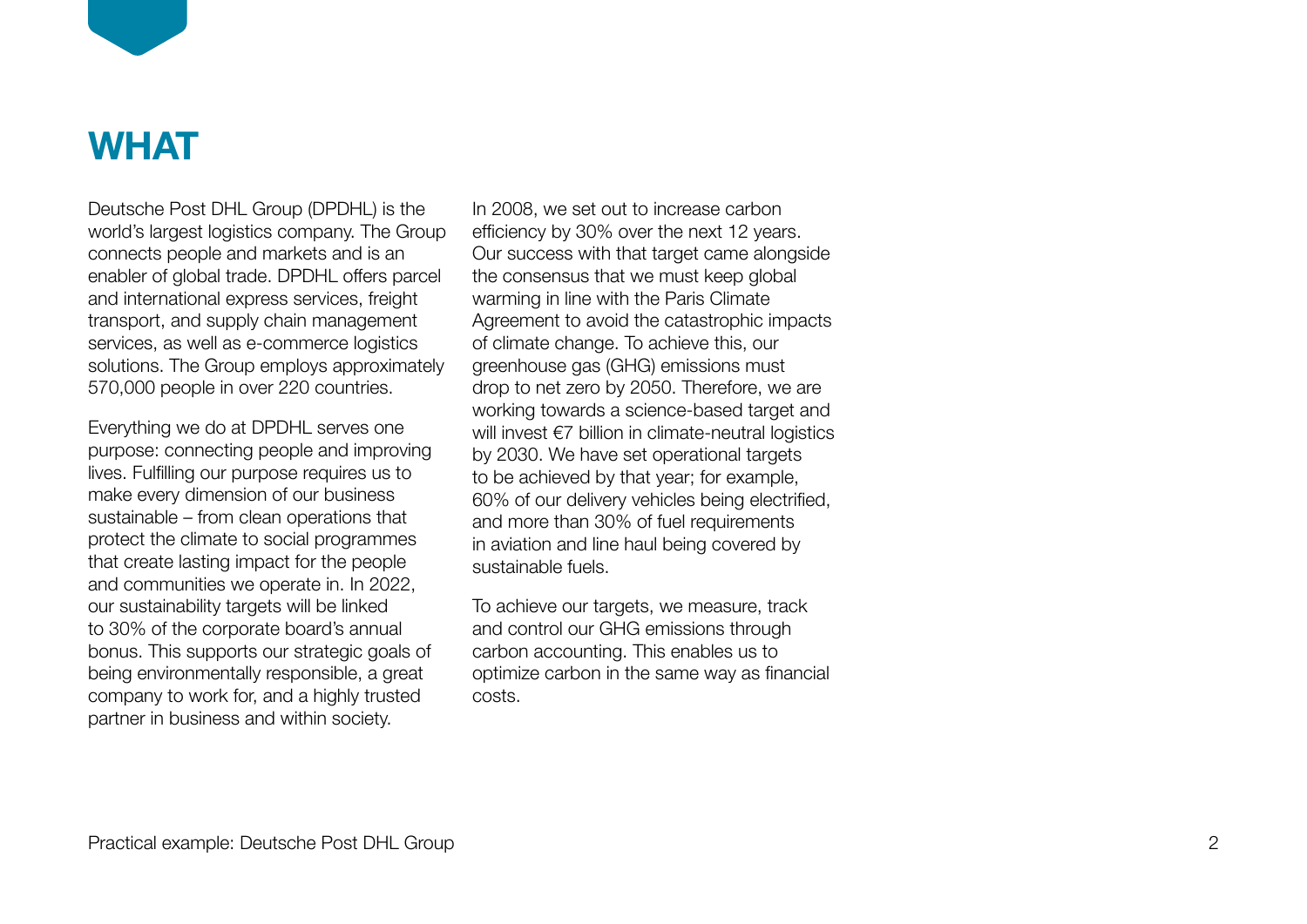

### **WHAT**

Deutsche Post DHL Group (DPDHL) is the world's largest logistics company. The Group connects people and markets and is an enabler of global trade. DPDHL offers parcel and international express services, freight transport, and supply chain management services, as well as e-commerce logistics solutions. The Group employs approximately 570,000 people in over 220 countries.

Everything we do at DPDHL serves one purpose: connecting people and improving lives. Fulfilling our purpose requires us to make every dimension of our business sustainable – from clean operations that protect the climate to social programmes that create lasting impact for the people and communities we operate in. In 2022, our sustainability targets will be linked to 30% of the corporate board's annual bonus. This supports our strategic goals of being environmentally responsible, a great company to work for, and a highly trusted partner in business and within society.

In 2008, we set out to increase carbon efficiency by 30% over the next 12 years. Our success with that target came alongside the consensus that we must keep global warming in line with the Paris Climate Agreement to avoid the catastrophic impacts of climate change. To achieve this, our greenhouse gas (GHG) emissions must drop to net zero by 2050. Therefore, we are working towards a science-based target and will invest €7 billion in climate-neutral logistics by 2030. We have set operational targets to be achieved by that year; for example, 60% of our delivery vehicles being electrified, and more than 30% of fuel requirements in aviation and line haul being covered by sustainable fuels.

To achieve our targets, we measure, track and control our GHG emissions through carbon accounting. This enables us to optimize carbon in the same way as financial costs.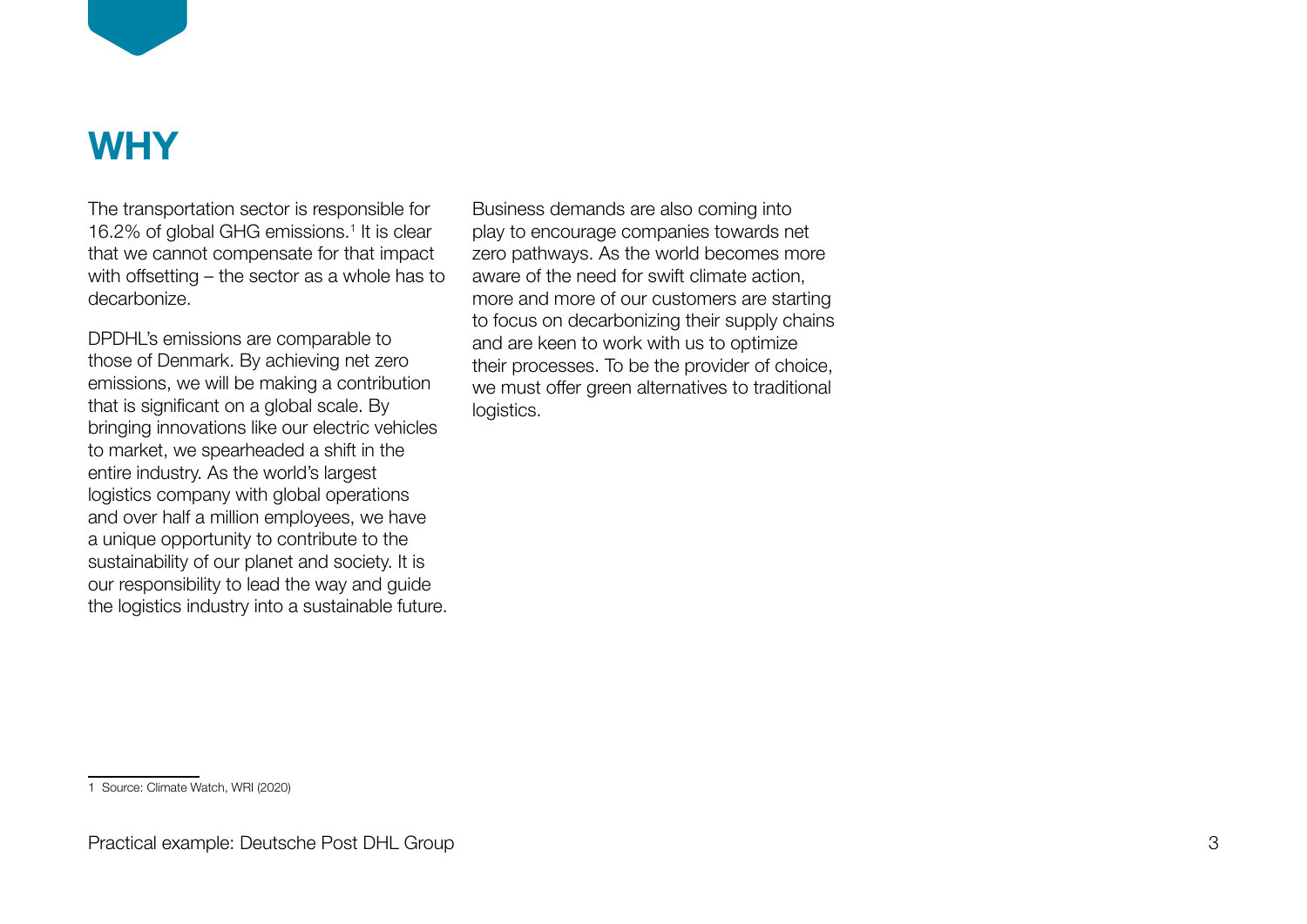

### **WHY**

The transportation sector is responsible for 16.2% of global GHG emissions.<sup>1</sup> It is clear that we cannot compensate for that impact with offsetting – the sector as a whole has to decarbonize.

DPDHL's emissions are comparable to those of Denmark. By achieving net zero emissions, we will be making a contribution that is significant on a global scale. By bringing innovations like our electric vehicles to market, we spearheaded a shift in the entire industry. As the world's largest logistics company with global operations and over half a million employees, we have a unique opportunity to contribute to the sustainability of our planet and society. It is our responsibility to lead the way and guide the logistics industry into a sustainable future. Business demands are also coming into play to encourage companies towards net zero pathways. As the world becomes more aware of the need for swift climate action, more and more of our customers are starting to focus on decarbonizing their supply chains and are keen to work with us to optimize their processes. To be the provider of choice, we must offer green alternatives to traditional logistics.

<sup>1</sup> Source: Climate Watch, WRI (2020)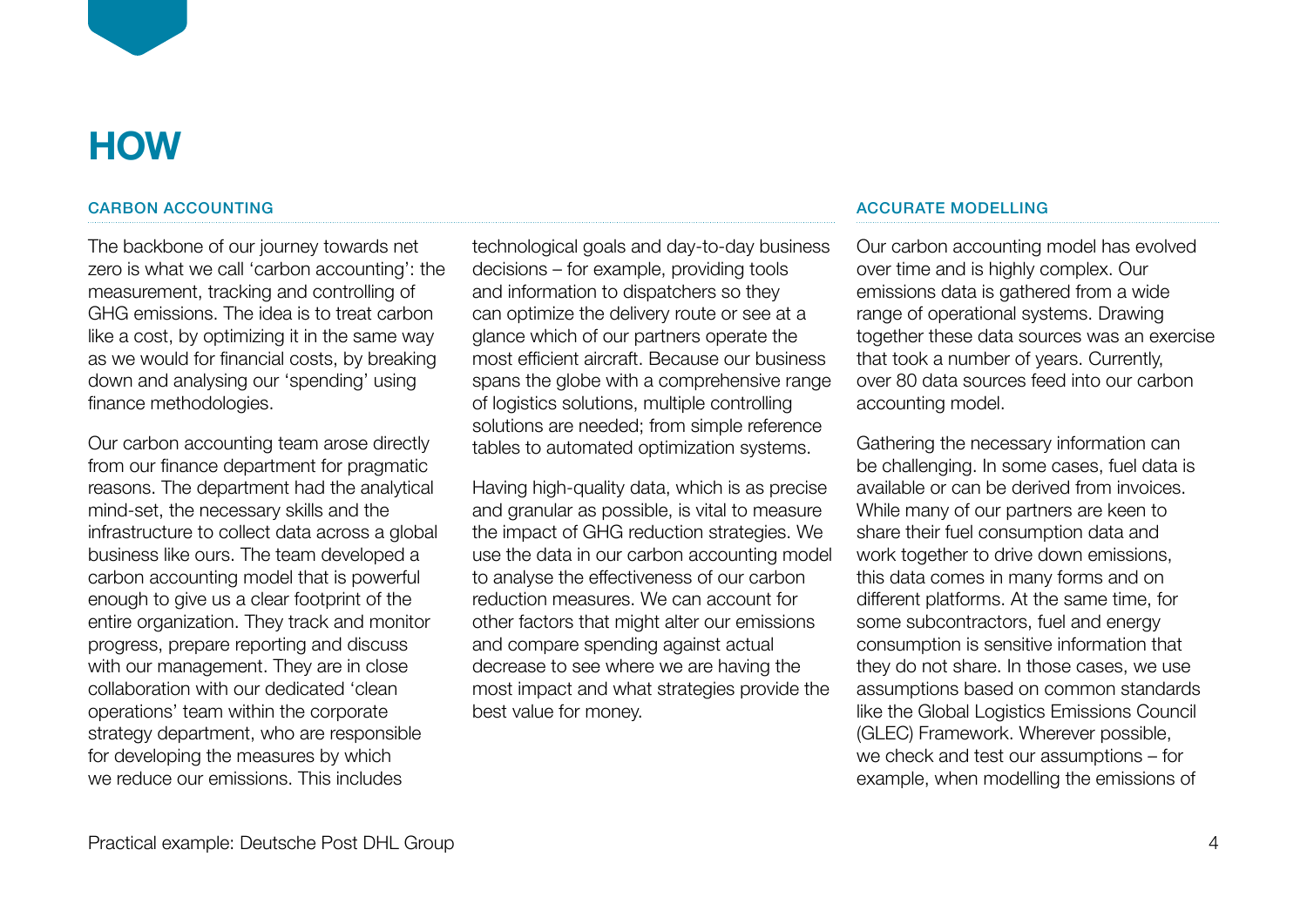

### CARBON ACCOUNTING

The backbone of our journey towards net zero is what we call 'carbon accounting': the measurement, tracking and controlling of GHG emissions. The idea is to treat carbon like a cost, by optimizing it in the same way as we would for financial costs, by breaking down and analysing our 'spending' using finance methodologies.

Our carbon accounting team arose directly from our finance department for pragmatic reasons. The department had the analytical mind-set, the necessary skills and the infrastructure to collect data across a global business like ours. The team developed a carbon accounting model that is powerful enough to give us a clear footprint of the entire organization. They track and monitor progress, prepare reporting and discuss with our management. They are in close collaboration with our dedicated 'clean operations' team within the corporate strategy department, who are responsible for developing the measures by which we reduce our emissions. This includes

technological goals and day-to-day business decisions – for example, providing tools and information to dispatchers so they can optimize the delivery route or see at a glance which of our partners operate the most efficient aircraft. Because our business spans the globe with a comprehensive range of logistics solutions, multiple controlling solutions are needed; from simple reference tables to automated optimization systems.

Having high-quality data, which is as precise and granular as possible, is vital to measure the impact of GHG reduction strategies. We use the data in our carbon accounting model to analyse the effectiveness of our carbon reduction measures. We can account for other factors that might alter our emissions and compare spending against actual decrease to see where we are having the most impact and what strategies provide the best value for money.

#### ACCURATE MODELLING

Our carbon accounting model has evolved over time and is highly complex. Our emissions data is gathered from a wide range of operational systems. Drawing together these data sources was an exercise that took a number of years. Currently, over 80 data sources feed into our carbon accounting model.

Gathering the necessary information can be challenging. In some cases, fuel data is available or can be derived from invoices. While many of our partners are keen to share their fuel consumption data and work together to drive down emissions, this data comes in many forms and on different platforms. At the same time, for some subcontractors, fuel and energy consumption is sensitive information that they do not share. In those cases, we use assumptions based on common standards like the Global Logistics Emissions Council (GLEC) Framework. Wherever possible, we check and test our assumptions – for example, when modelling the emissions of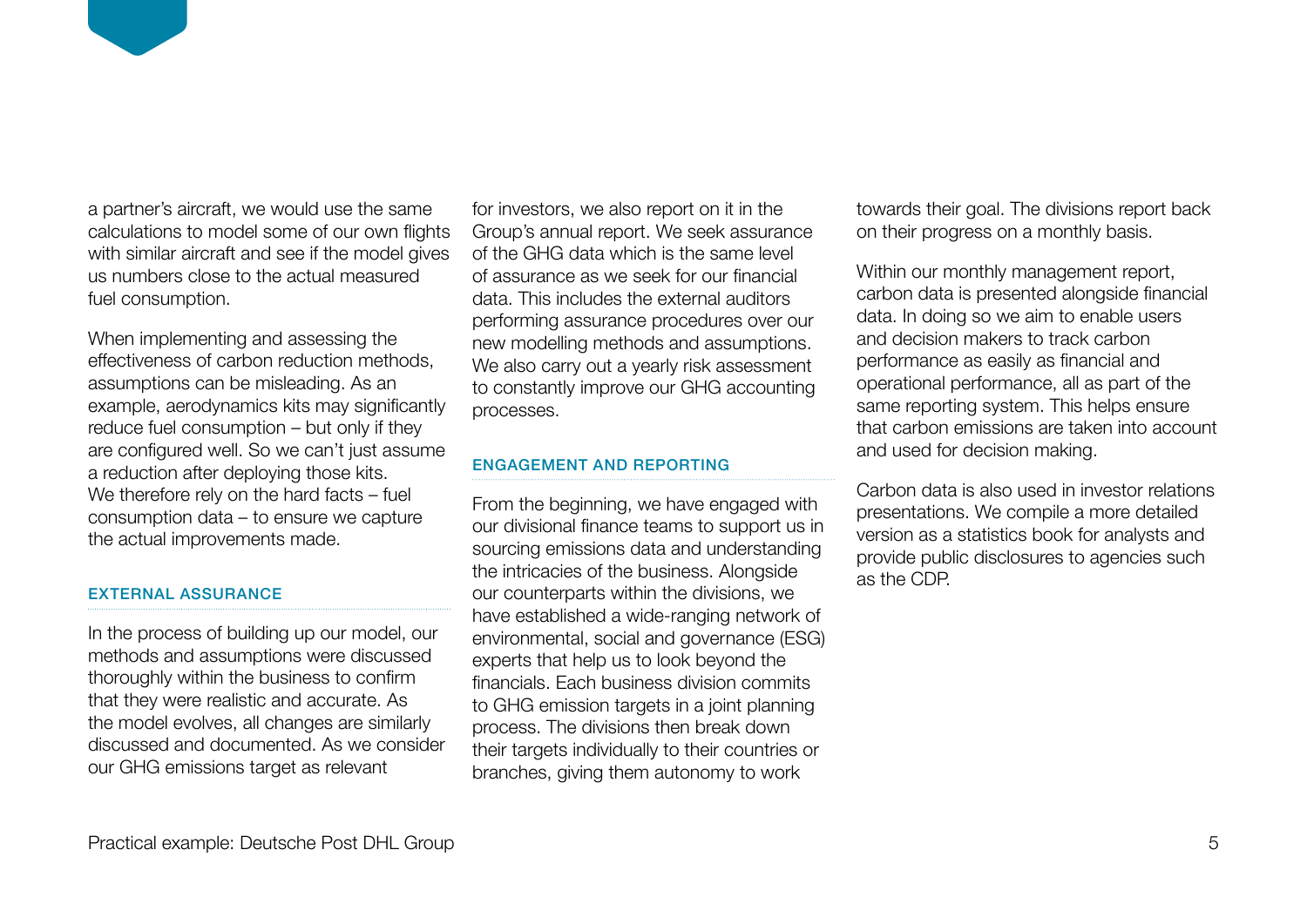a partner's aircraft, we would use the same calculations to model some of our own flights with similar aircraft and see if the model gives us numbers close to the actual measured fuel consumption.

When implementing and assessing the effectiveness of carbon reduction methods, assumptions can be misleading. As an example, aerodynamics kits may significantly reduce fuel consumption – but only if they are configured well. So we can't just assume a reduction after deploying those kits. We therefore rely on the hard facts – fuel consumption data – to ensure we capture the actual improvements made.

### EXTERNAL ASSURANCE

In the process of building up our model, our methods and assumptions were discussed thoroughly within the business to confirm that they were realistic and accurate. As the model evolves, all changes are similarly discussed and documented. As we consider our GHG emissions target as relevant

for investors, we also report on it in the Group's annual report. We seek assurance of the GHG data which is the same level of assurance as we seek for our financial data. This includes the external auditors performing assurance procedures over our new modelling methods and assumptions. We also carry out a yearly risk assessment to constantly improve our GHG accounting processes.

### ENGAGEMENT AND REPORTING

From the beginning, we have engaged with our divisional finance teams to support us in sourcing emissions data and understanding the intricacies of the business. Alongside our counterparts within the divisions, we have established a wide-ranging network of environmental, social and governance (ESG) experts that help us to look beyond the financials. Each business division commits to GHG emission targets in a joint planning process. The divisions then break down their targets individually to their countries or branches, giving them autonomy to work

towards their goal. The divisions report back on their progress on a monthly basis.

Within our monthly management report, carbon data is presented alongside financial data. In doing so we aim to enable users and decision makers to track carbon performance as easily as financial and operational performance, all as part of the same reporting system. This helps ensure that carbon emissions are taken into account and used for decision making.

Carbon data is also used in investor relations presentations. We compile a more detailed version as a statistics book for analysts and provide public disclosures to agencies such as the CDP.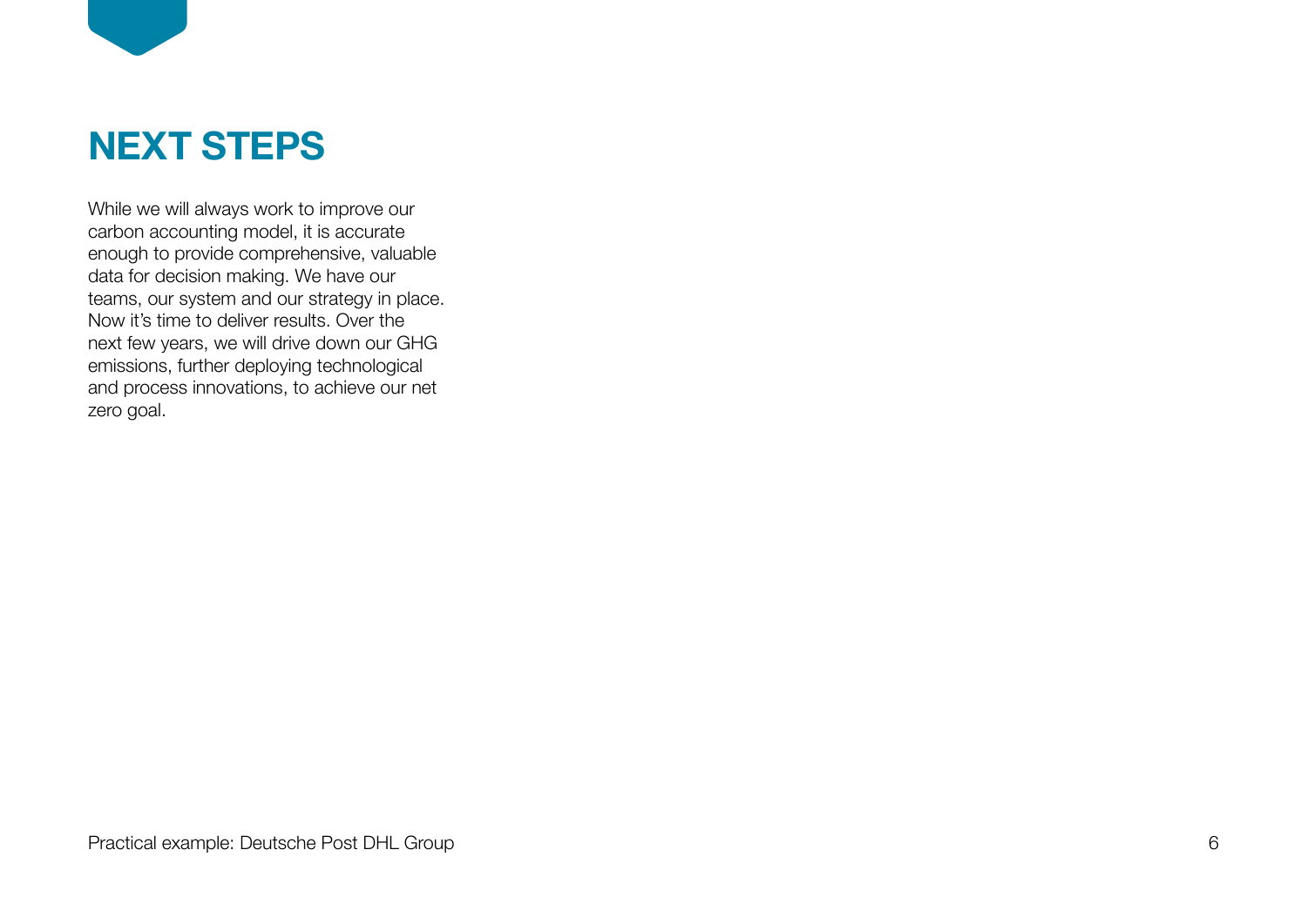

# **NEXT STEPS**

While we will always work to improve our carbon accounting model, it is accurate enough to provide comprehensive, valuable data for decision making. We have our teams, our system and our strategy in place. Now it's time to deliver results. Over the next few years, we will drive down our GHG emissions, further deploying technological and process innovations, to achieve our net zero goal.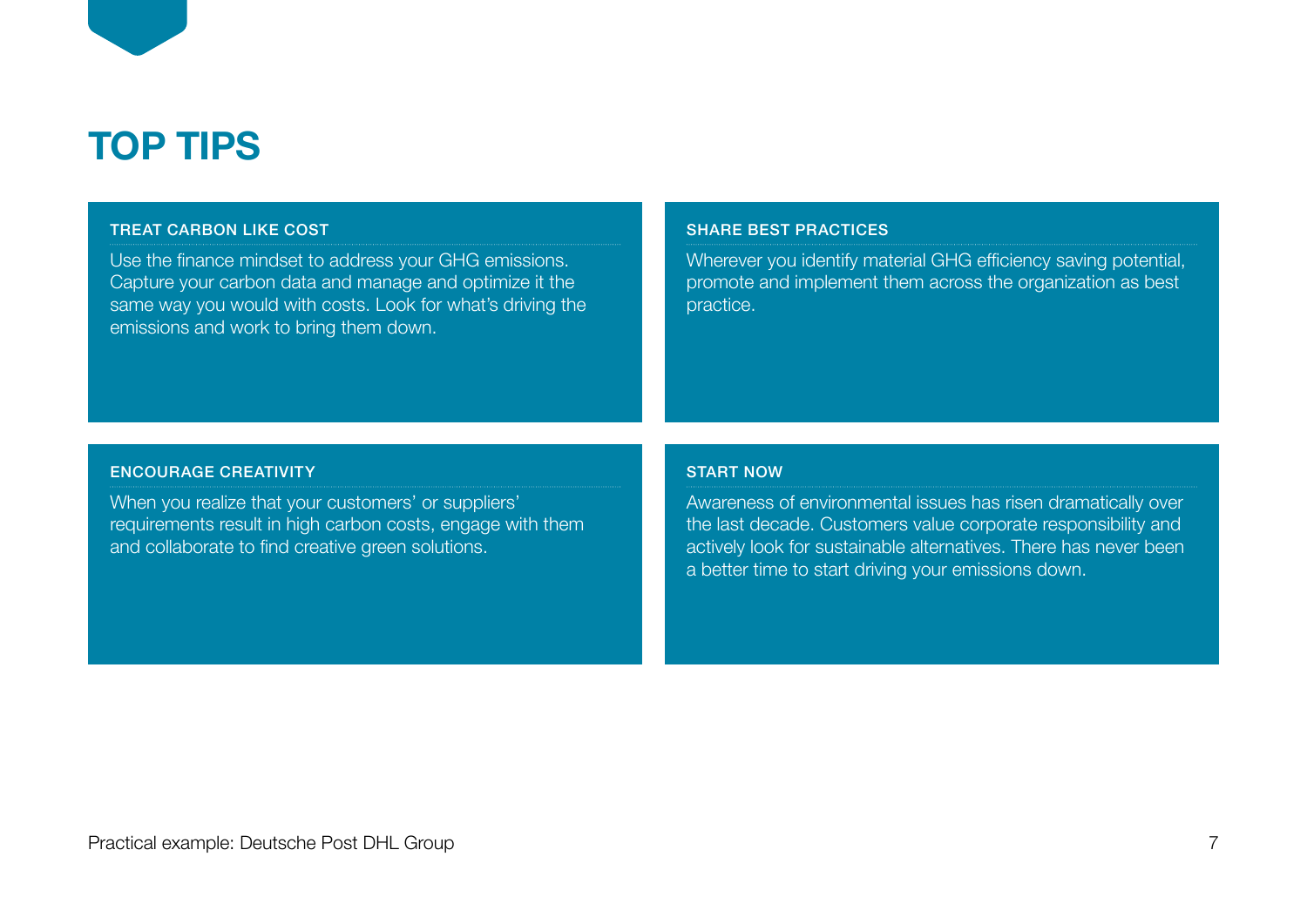

#### TREAT CARBON LIKE COST

Use the finance mindset to address your GHG emissions. Capture your carbon data and manage and optimize it the same way you would with costs. Look for what's driving the emissions and work to bring them down.

#### SHARE BEST PRACTICES

Wherever you identify material GHG efficiency saving potential, promote and implement them across the organization as best practice.

#### ENCOURAGE CREATIVITY

When you realize that your customers' or suppliers' requirements result in high carbon costs, engage with them and collaborate to find creative green solutions.

### START NOW

Awareness of environmental issues has risen dramatically over the last decade. Customers value corporate responsibility and actively look for sustainable alternatives. There has never been a better time to start driving your emissions down.